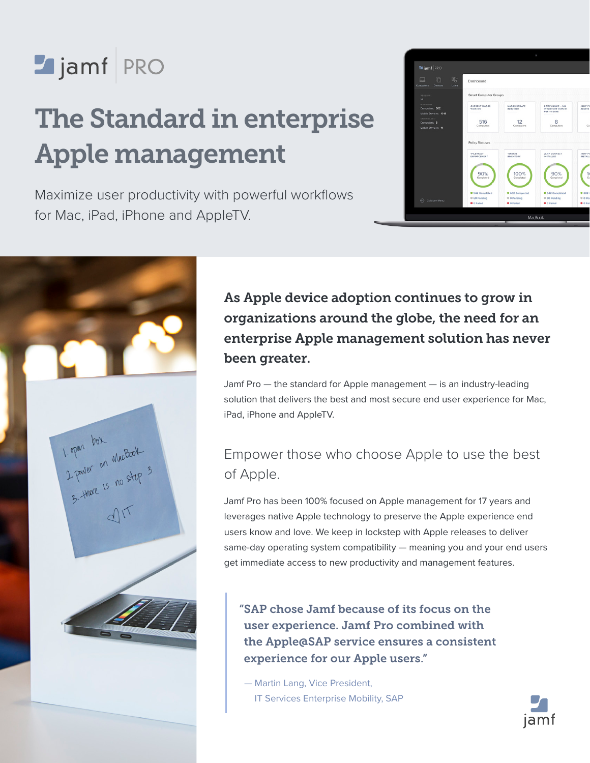# Jamf PRO

## The Standard in enterprise Apple management

Maximize user productivity with powerful workflows for Mac, iPad, iPhone and AppleTV.

|                                                                 |                                         | ø                                |                                                    |                            |  |  |  |  |
|-----------------------------------------------------------------|-----------------------------------------|----------------------------------|----------------------------------------------------|----------------------------|--|--|--|--|
| <b>M</b> jamf PRO                                               |                                         |                                  |                                                    |                            |  |  |  |  |
| 四<br>n<br>Computers<br><b>Devices</b><br><b>Users</b>           | Dashboard                               |                                  |                                                    |                            |  |  |  |  |
| VERSION<br>$^{10}$                                              | Smart Computer Groups                   |                                  |                                                    |                            |  |  |  |  |
| MANAGED<br>Computers: 602<br>Mobile Devices: 1018               | <b>CURRENT MACOS</b><br>VERSION         | <b>MACOS UPDATE</b><br>REQUIRED  | COMPLIANCE - NO<br>INVENTORY REPORT<br>FOR 14 DAYS | JAMF PR<br><b>ALERTS</b>   |  |  |  |  |
| UNMANAGED<br>Computers: 8<br>Mobile Devices: 11                 | 516<br>Computers                        | 12<br>Computers                  | 8<br>Computers                                     | Co                         |  |  |  |  |
|                                                                 | <b>Policy Statuses</b>                  |                                  |                                                    |                            |  |  |  |  |
|                                                                 | "FILEVAULT<br><b><i>ENFORCEMENT</i></b> | <b>UPDATE</b><br>INVENTORY       | JAMF CONNECT<br>INSTALLED                          | JAMF PR<br>INSTALL         |  |  |  |  |
|                                                                 | 90%<br>Completed                        | 100%<br>Completed                | 90%<br>Completed                                   | 10<br>ċ.                   |  |  |  |  |
|                                                                 | · 542 Completed                         | · 602 Completed                  | · 542 Completed                                    | 00020                      |  |  |  |  |
| $\left(\begin{matrix} 4 \\ 1 \end{matrix}\right)$ Collapse Menu | @ 60 Pending<br><b>O</b> C Failed       | @ 0 Pending<br><b>O</b> 0 Failed | C 60 Pending<br><b>O</b> C Failed                  | © O Per<br><b>O</b> O Fail |  |  |  |  |
|                                                                 |                                         | MacBook                          |                                                    |                            |  |  |  |  |



As Apple device adoption continues to grow in organizations around the globe, the need for an enterprise Apple management solution has never been greater.

Jamf Pro — the standard for Apple management — is an industry-leading solution that delivers the best and most secure end user experience for Mac, iPad, iPhone and AppleTV.

## Empower those who choose Apple to use the best of Apple.

Jamf Pro has been 100% focused on Apple management for 17 years and leverages native Apple technology to preserve the Apple experience end users know and love. We keep in lockstep with Apple releases to deliver same-day operating system compatibility — meaning you and your end users get immediate access to new productivity and management features.

"SAP chose Jamf because of its focus on the user experience. Jamf Pro combined with the Apple@SAP service ensures a consistent experience for our Apple users."

 — Martin Lang, Vice President, IT Services Enterprise Mobility, SAP